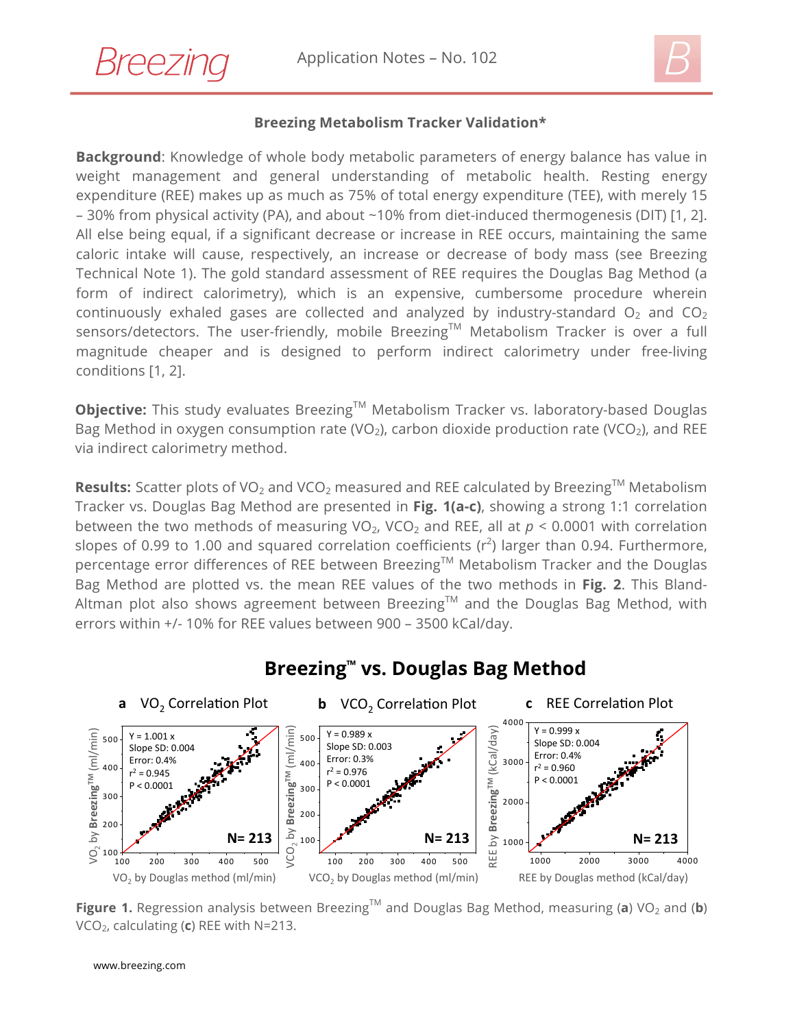



## **Breezing Metabolism Tracker Validation\***

**Background**: Knowledge of whole body metabolic parameters of energy balance has value in weight management and general understanding of metabolic health. Resting energy expenditure (REE) makes up as much as 75% of total energy expenditure (TEE), with merely 15 – 30% from physical activity (PA), and about ~10% from diet-induced thermogenesis (DIT) [1, 2]. All else being equal, if a significant decrease or increase in REE occurs, maintaining the same caloric intake will cause, respectively, an increase or decrease of body mass (see Breezing Technical Note 1). The gold standard assessment of REE requires the Douglas Bag Method (a form of indirect calorimetry), which is an expensive, cumbersome procedure wherein continuously exhaled gases are collected and analyzed by industry-standard  $O_2$  and  $CO_2$ sensors/detectors. The user-friendly, mobile Breezing<sup>TM</sup> Metabolism Tracker is over a full magnitude cheaper and is designed to perform indirect calorimetry under free-living conditions [1, 2].

**Objective:** This study evaluates Breezing™ Metabolism Tracker vs. laboratory-based Douglas Bag Method in oxygen consumption rate (VO<sub>2</sub>), carbon dioxide production rate (VCO<sub>2</sub>), and REE via indirect calorimetry method.

**Results:** Scatter plots of VO<sub>2</sub> and VCO<sub>2</sub> measured and REE calculated by Breezing<sup>TM</sup> Metabolism Tracker vs. Douglas Bag Method are presented in **Fig. 1(a-c)**, showing a strong 1:1 correlation between the two methods of measuring  $VO<sub>2</sub>$ , VCO<sub>2</sub> and REE, all at  $p < 0.0001$  with correlation slopes of 0.99 to 1.00 and squared correlation coefficients ( $r^2$ ) larger than 0.94. Furthermore, percentage error differences of REE between Breezing™ Metabolism Tracker and the Douglas Bag Method are plotted vs. the mean REE values of the two methods in **Fig. 2**. This Bland-Altman plot also shows agreement between Breezing<sup>TM</sup> and the Douglas Bag Method, with errors within +/- 10% for REE values between 900 – 3500 kCal/day.



## **Breezing™ vs. Douglas Bag Method**

**Figure 1.** Regression analysis between Breezing<sup>TM</sup> and Douglas Bag Method, measuring (a) VO<sub>2</sub> and (b) VCO2, calculating (**c**) REE with N=213.